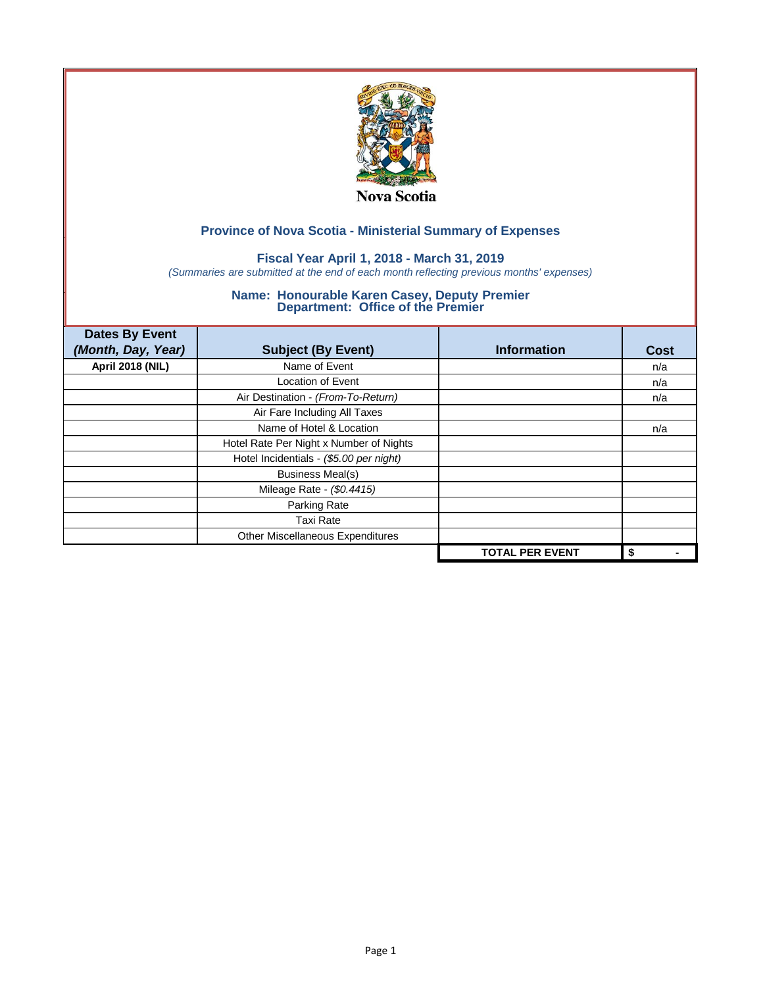

## **Fiscal Year April 1, 2018 - March 31, 2019**

*(Summaries are submitted at the end of each month reflecting previous months' expenses)*

| <b>Dates By Event</b>   |                                         |                        |      |
|-------------------------|-----------------------------------------|------------------------|------|
| (Month, Day, Year)      | <b>Subject (By Event)</b>               | <b>Information</b>     | Cost |
| <b>April 2018 (NIL)</b> | Name of Event                           |                        | n/a  |
|                         | <b>Location of Event</b>                |                        | n/a  |
|                         | Air Destination - (From-To-Return)      |                        | n/a  |
|                         | Air Fare Including All Taxes            |                        |      |
|                         | Name of Hotel & Location                |                        | n/a  |
|                         | Hotel Rate Per Night x Number of Nights |                        |      |
|                         | Hotel Incidentials - (\$5.00 per night) |                        |      |
|                         | <b>Business Meal(s)</b>                 |                        |      |
|                         | Mileage Rate - (\$0.4415)               |                        |      |
|                         | Parking Rate                            |                        |      |
|                         | <b>Taxi Rate</b>                        |                        |      |
|                         | Other Miscellaneous Expenditures        |                        |      |
|                         |                                         | <b>TOTAL PER EVENT</b> | \$   |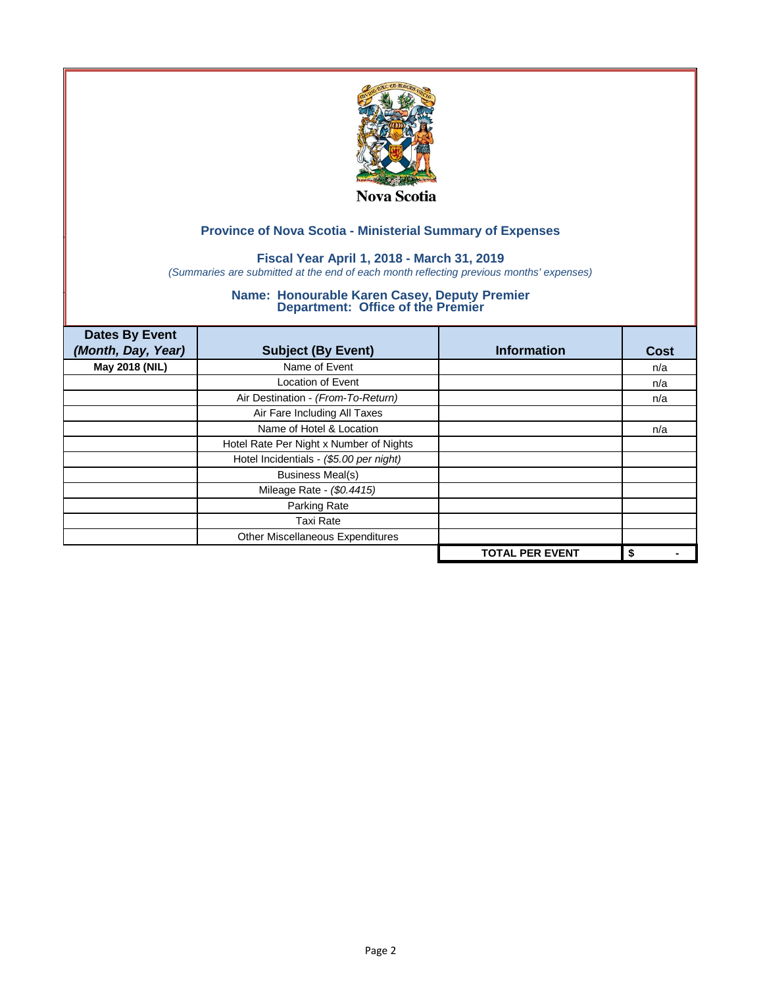

## **Fiscal Year April 1, 2018 - March 31, 2019**

*(Summaries are submitted at the end of each month reflecting previous months' expenses)*

| <b>Dates By Event</b><br>(Month, Day, Year) | <b>Subject (By Event)</b>               | <b>Information</b>     | <b>Cost</b> |
|---------------------------------------------|-----------------------------------------|------------------------|-------------|
| May 2018 (NIL)                              | Name of Event                           |                        | n/a         |
|                                             | Location of Event                       |                        | n/a         |
|                                             | Air Destination - (From-To-Return)      |                        | n/a         |
|                                             | Air Fare Including All Taxes            |                        |             |
|                                             | Name of Hotel & Location                |                        | n/a         |
|                                             | Hotel Rate Per Night x Number of Nights |                        |             |
|                                             | Hotel Incidentials - (\$5.00 per night) |                        |             |
|                                             | <b>Business Meal(s)</b>                 |                        |             |
|                                             | Mileage Rate - (\$0.4415)               |                        |             |
|                                             | Parking Rate                            |                        |             |
|                                             | <b>Taxi Rate</b>                        |                        |             |
|                                             | Other Miscellaneous Expenditures        |                        |             |
|                                             |                                         | <b>TOTAL PER EVENT</b> | \$          |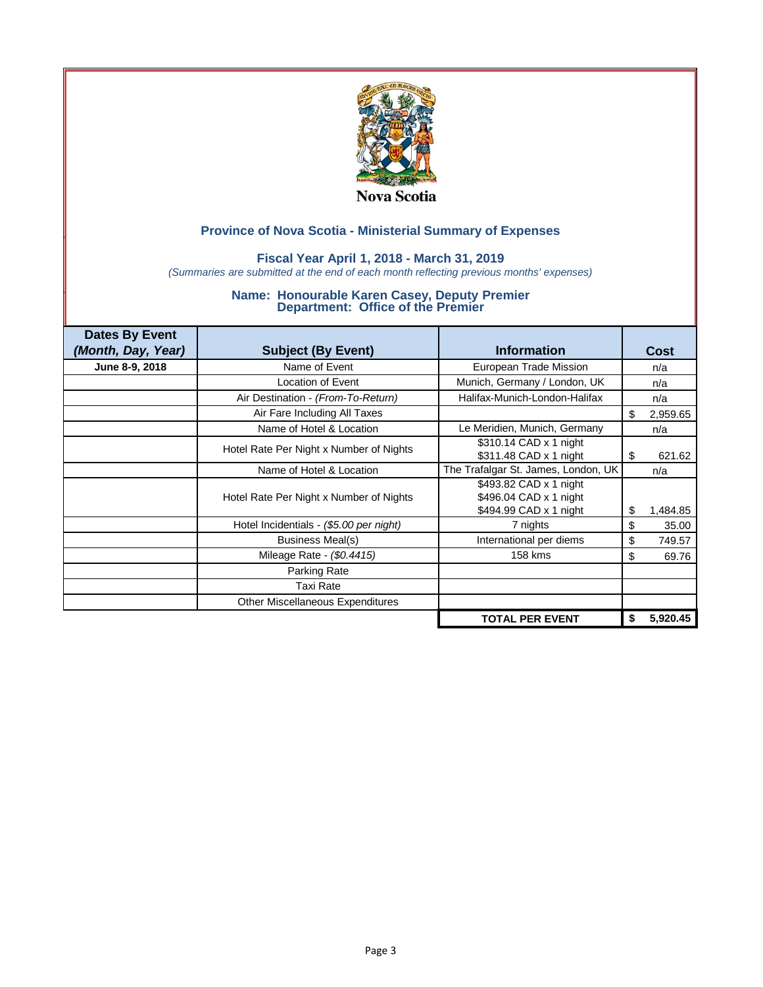

### **Fiscal Year April 1, 2018 - March 31, 2019**

*(Summaries are submitted at the end of each month reflecting previous months' expenses)*

| <b>Dates By Event</b> |                                         |                                                                            |    |             |
|-----------------------|-----------------------------------------|----------------------------------------------------------------------------|----|-------------|
| (Month, Day, Year)    | <b>Subject (By Event)</b>               | <b>Information</b>                                                         |    | <b>Cost</b> |
| June 8-9, 2018        | Name of Event                           | European Trade Mission                                                     |    | n/a         |
|                       | <b>Location of Event</b>                | Munich, Germany / London, UK                                               |    | n/a         |
|                       | Air Destination - (From-To-Return)      | Halifax-Munich-London-Halifax                                              |    | n/a         |
|                       | Air Fare Including All Taxes            |                                                                            | \$ | 2,959.65    |
|                       | Name of Hotel & Location                | Le Meridien, Munich, Germany                                               |    | n/a         |
|                       | Hotel Rate Per Night x Number of Nights | \$310.14 CAD x 1 night<br>\$311.48 CAD x 1 night                           | S  | 621.62      |
|                       | Name of Hotel & Location                | The Trafalgar St. James, London, UK                                        |    | n/a         |
|                       | Hotel Rate Per Night x Number of Nights | \$493.82 CAD x 1 night<br>\$496.04 CAD x 1 night<br>\$494.99 CAD x 1 night | \$ | 1,484.85    |
|                       | Hotel Incidentials - (\$5.00 per night) | 7 nights                                                                   | \$ | 35.00       |
|                       | Business Meal(s)                        | International per diems                                                    | \$ | 749.57      |
|                       | Mileage Rate - (\$0.4415)               | 158 kms                                                                    | \$ | 69.76       |
|                       | Parking Rate                            |                                                                            |    |             |
|                       | Taxi Rate                               |                                                                            |    |             |
|                       | Other Miscellaneous Expenditures        |                                                                            |    |             |
|                       |                                         | <b>TOTAL PER EVENT</b>                                                     | \$ | 5,920.45    |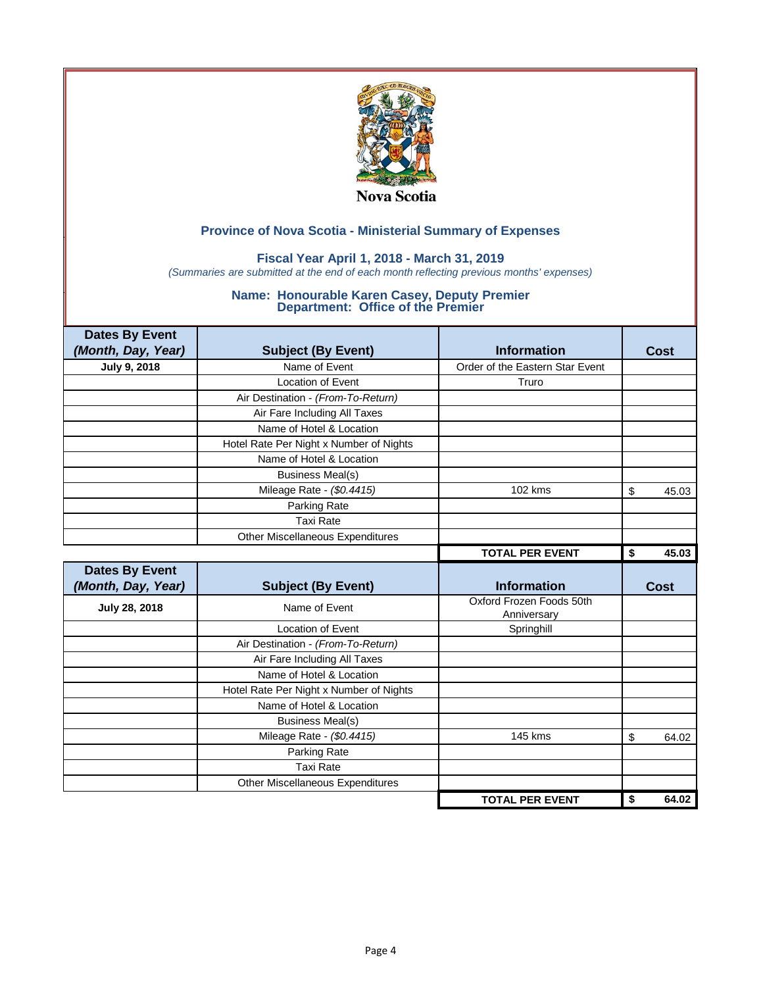

### **Fiscal Year April 1, 2018 - March 31, 2019**

*(Summaries are submitted at the end of each month reflecting previous months' expenses)*

| <b>Dates By Event</b> |                                         |                                         |             |
|-----------------------|-----------------------------------------|-----------------------------------------|-------------|
| (Month, Day, Year)    | <b>Subject (By Event)</b>               | <b>Information</b>                      | Cost        |
| July 9, 2018          | Name of Event                           | Order of the Eastern Star Event         |             |
|                       | Location of Event                       | Truro                                   |             |
|                       | Air Destination - (From-To-Return)      |                                         |             |
|                       | Air Fare Including All Taxes            |                                         |             |
|                       | Name of Hotel & Location                |                                         |             |
|                       | Hotel Rate Per Night x Number of Nights |                                         |             |
|                       | Name of Hotel & Location                |                                         |             |
|                       | <b>Business Meal(s)</b>                 |                                         |             |
|                       | Mileage Rate - (\$0.4415)               | 102 kms                                 | \$<br>45.03 |
|                       | Parking Rate                            |                                         |             |
|                       | <b>Taxi Rate</b>                        |                                         |             |
|                       | Other Miscellaneous Expenditures        |                                         |             |
|                       |                                         | <b>TOTAL PER EVENT</b>                  | \$<br>45.03 |
|                       |                                         |                                         |             |
| <b>Dates By Event</b> |                                         |                                         |             |
| (Month, Day, Year)    | <b>Subject (By Event)</b>               | <b>Information</b>                      | Cost        |
| July 28, 2018         | Name of Event                           | Oxford Frozen Foods 50th<br>Anniversary |             |
|                       | <b>Location of Event</b>                | Springhill                              |             |
|                       | Air Destination - (From-To-Return)      |                                         |             |
|                       | Air Fare Including All Taxes            |                                         |             |
|                       | Name of Hotel & Location                |                                         |             |
|                       | Hotel Rate Per Night x Number of Nights |                                         |             |
|                       | Name of Hotel & Location                |                                         |             |
|                       | <b>Business Meal(s)</b>                 |                                         |             |
|                       | Mileage Rate - (\$0.4415)               | <b>145 kms</b>                          | \$<br>64.02 |
|                       | Parking Rate                            |                                         |             |
|                       | <b>Taxi Rate</b>                        |                                         |             |
|                       | Other Miscellaneous Expenditures        |                                         |             |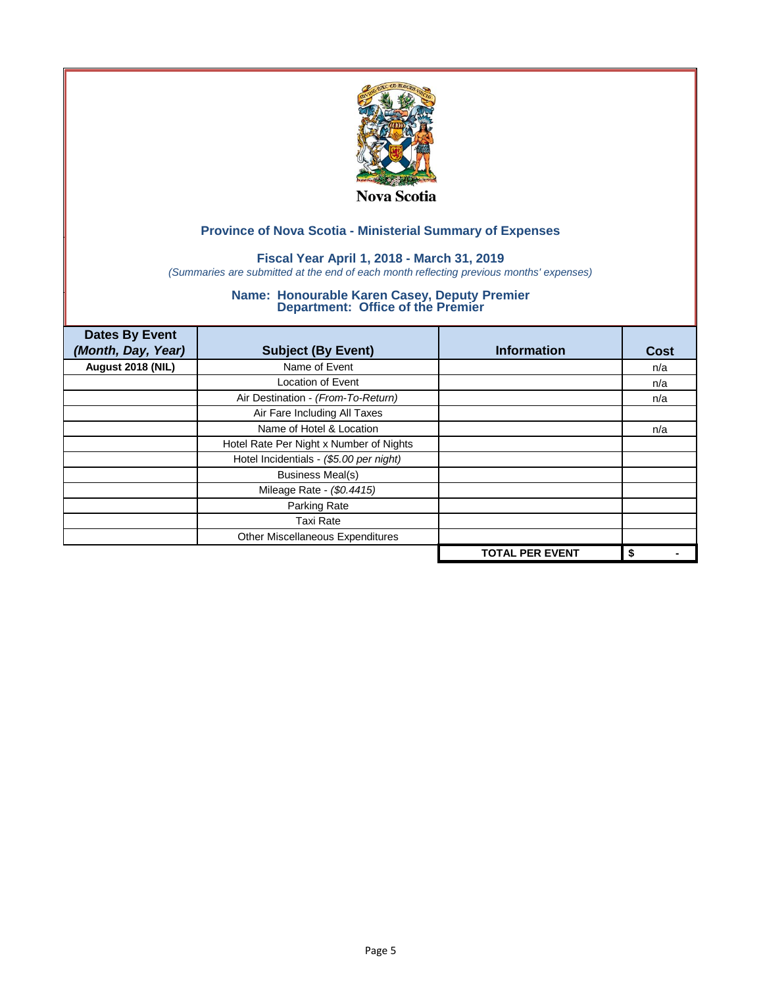

## **Fiscal Year April 1, 2018 - March 31, 2019**

*(Summaries are submitted at the end of each month reflecting previous months' expenses)*

| <b>Dates By Event</b><br>(Month, Day, Year) | <b>Subject (By Event)</b>               | <b>Information</b>     | <b>Cost</b> |
|---------------------------------------------|-----------------------------------------|------------------------|-------------|
| August 2018 (NIL)                           | Name of Event                           |                        | n/a         |
|                                             | Location of Event                       |                        | n/a         |
|                                             | Air Destination - (From-To-Return)      |                        | n/a         |
|                                             | Air Fare Including All Taxes            |                        |             |
|                                             | Name of Hotel & Location                |                        | n/a         |
|                                             | Hotel Rate Per Night x Number of Nights |                        |             |
|                                             | Hotel Incidentials - (\$5.00 per night) |                        |             |
|                                             | <b>Business Meal(s)</b>                 |                        |             |
|                                             | Mileage Rate - (\$0.4415)               |                        |             |
|                                             | Parking Rate                            |                        |             |
|                                             | <b>Taxi Rate</b>                        |                        |             |
|                                             | Other Miscellaneous Expenditures        |                        |             |
|                                             |                                         | <b>TOTAL PER EVENT</b> | \$          |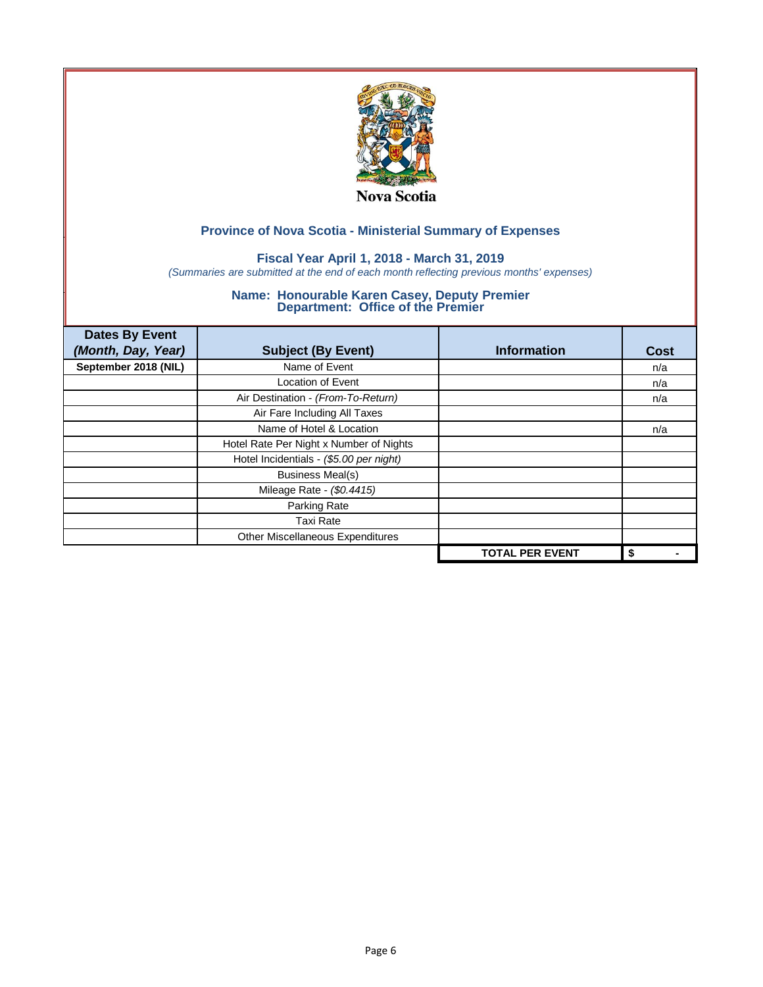

## **Fiscal Year April 1, 2018 - March 31, 2019**

*(Summaries are submitted at the end of each month reflecting previous months' expenses)*

| <b>Dates By Event</b><br>(Month, Day, Year) | <b>Subject (By Event)</b>               | <b>Information</b>     | Cost |
|---------------------------------------------|-----------------------------------------|------------------------|------|
| September 2018 (NIL)                        | Name of Event                           |                        | n/a  |
|                                             | <b>Location of Event</b>                |                        | n/a  |
|                                             | Air Destination - (From-To-Return)      |                        | n/a  |
|                                             | Air Fare Including All Taxes            |                        |      |
|                                             | Name of Hotel & Location                |                        | n/a  |
|                                             | Hotel Rate Per Night x Number of Nights |                        |      |
|                                             | Hotel Incidentials - (\$5.00 per night) |                        |      |
|                                             | <b>Business Meal(s)</b>                 |                        |      |
|                                             | Mileage Rate - (\$0.4415)               |                        |      |
|                                             | Parking Rate                            |                        |      |
|                                             | <b>Taxi Rate</b>                        |                        |      |
|                                             | Other Miscellaneous Expenditures        |                        |      |
|                                             |                                         | <b>TOTAL PER EVENT</b> | \$   |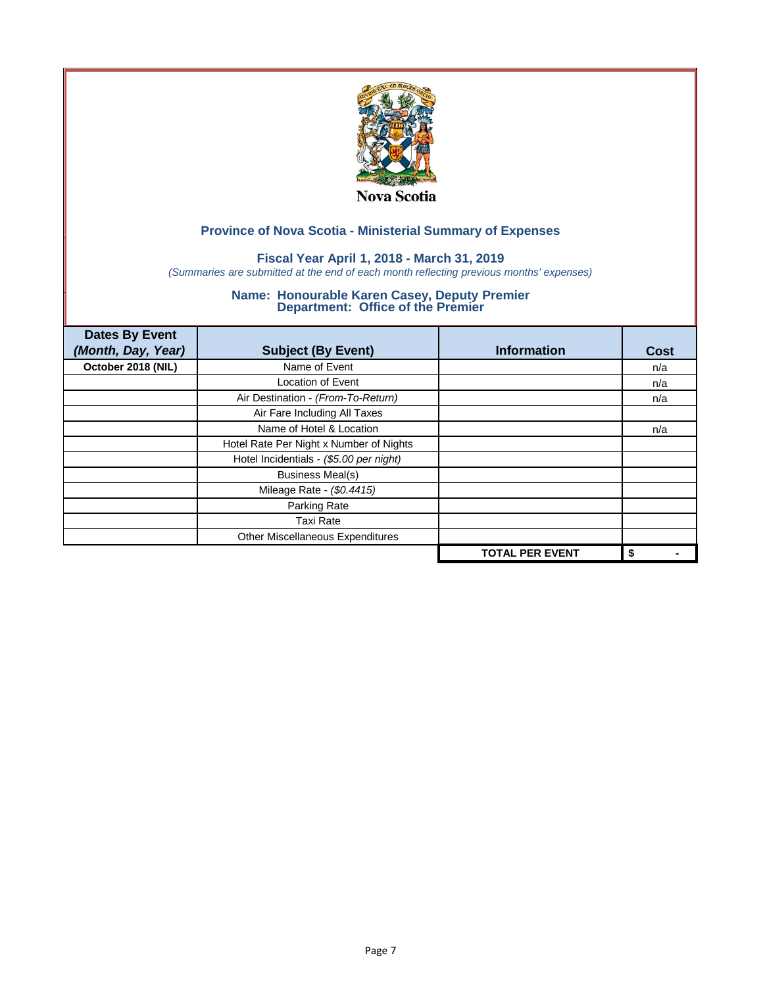

## **Fiscal Year April 1, 2018 - March 31, 2019**

*(Summaries are submitted at the end of each month reflecting previous months' expenses)*

| <b>Dates By Event</b><br>(Month, Day, Year) | <b>Subject (By Event)</b>               | <b>Information</b>     | <b>Cost</b> |
|---------------------------------------------|-----------------------------------------|------------------------|-------------|
| October 2018 (NIL)                          | Name of Event                           |                        | n/a         |
|                                             | <b>Location of Event</b>                |                        | n/a         |
|                                             | Air Destination - (From-To-Return)      |                        | n/a         |
|                                             | Air Fare Including All Taxes            |                        |             |
|                                             | Name of Hotel & Location                |                        | n/a         |
|                                             | Hotel Rate Per Night x Number of Nights |                        |             |
|                                             | Hotel Incidentials - (\$5.00 per night) |                        |             |
|                                             | <b>Business Meal(s)</b>                 |                        |             |
|                                             | Mileage Rate - (\$0.4415)               |                        |             |
|                                             | Parking Rate                            |                        |             |
|                                             | <b>Taxi Rate</b>                        |                        |             |
|                                             | Other Miscellaneous Expenditures        |                        |             |
|                                             |                                         | <b>TOTAL PER EVENT</b> | \$          |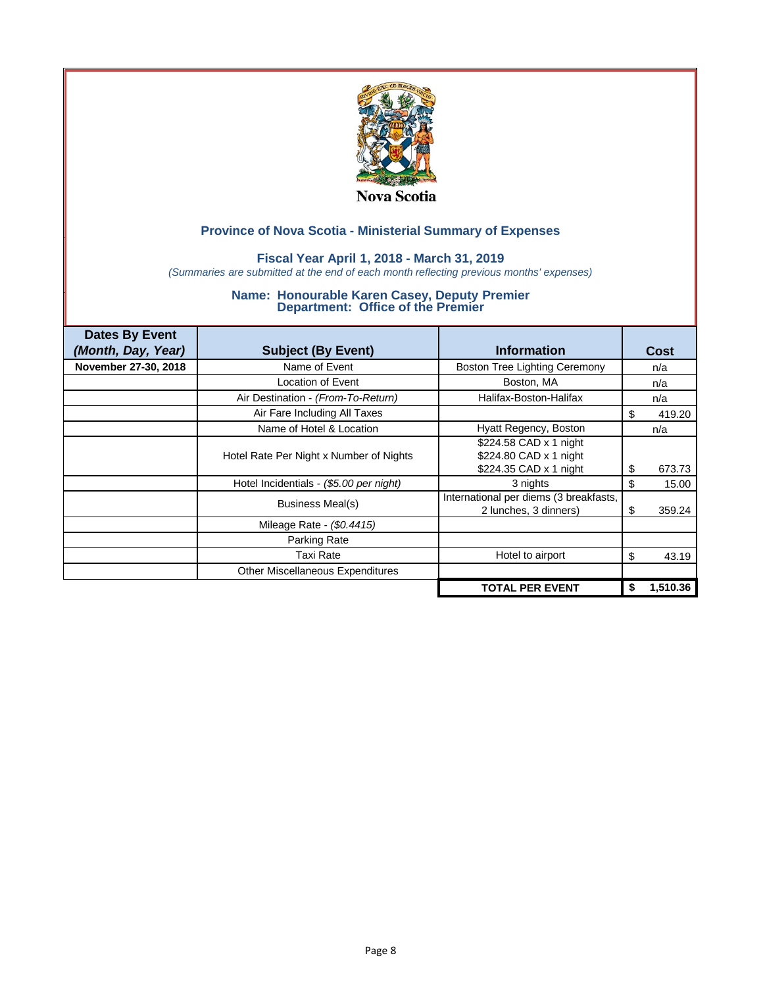

### **Fiscal Year April 1, 2018 - March 31, 2019**

*(Summaries are submitted at the end of each month reflecting previous months' expenses)*

| <b>Dates By Event</b> |                                         |                                                                            |    |             |
|-----------------------|-----------------------------------------|----------------------------------------------------------------------------|----|-------------|
| (Month, Day, Year)    | <b>Subject (By Event)</b>               | <b>Information</b>                                                         |    | <b>Cost</b> |
| November 27-30, 2018  | Name of Event                           | <b>Boston Tree Lighting Ceremony</b>                                       |    | n/a         |
|                       | Location of Event                       | Boston, MA                                                                 |    | n/a         |
|                       | Air Destination - (From-To-Return)      | Halifax-Boston-Halifax                                                     |    | n/a         |
|                       | Air Fare Including All Taxes            |                                                                            | S  | 419.20      |
|                       | Name of Hotel & Location                | Hyatt Regency, Boston                                                      |    | n/a         |
|                       | Hotel Rate Per Night x Number of Nights | \$224.58 CAD x 1 night<br>\$224.80 CAD x 1 night<br>\$224.35 CAD x 1 night | \$ | 673.73      |
|                       | Hotel Incidentials - (\$5.00 per night) | 3 nights                                                                   | \$ | 15.00       |
|                       | Business Meal(s)                        | International per diems (3 breakfasts,<br>2 lunches, 3 dinners)            | \$ | 359.24      |
|                       | Mileage Rate - (\$0.4415)               |                                                                            |    |             |
|                       | Parking Rate                            |                                                                            |    |             |
|                       | Taxi Rate                               | Hotel to airport                                                           | \$ | 43.19       |
|                       | <b>Other Miscellaneous Expenditures</b> |                                                                            |    |             |
|                       |                                         | <b>TOTAL PER EVENT</b>                                                     | \$ | 1,510.36    |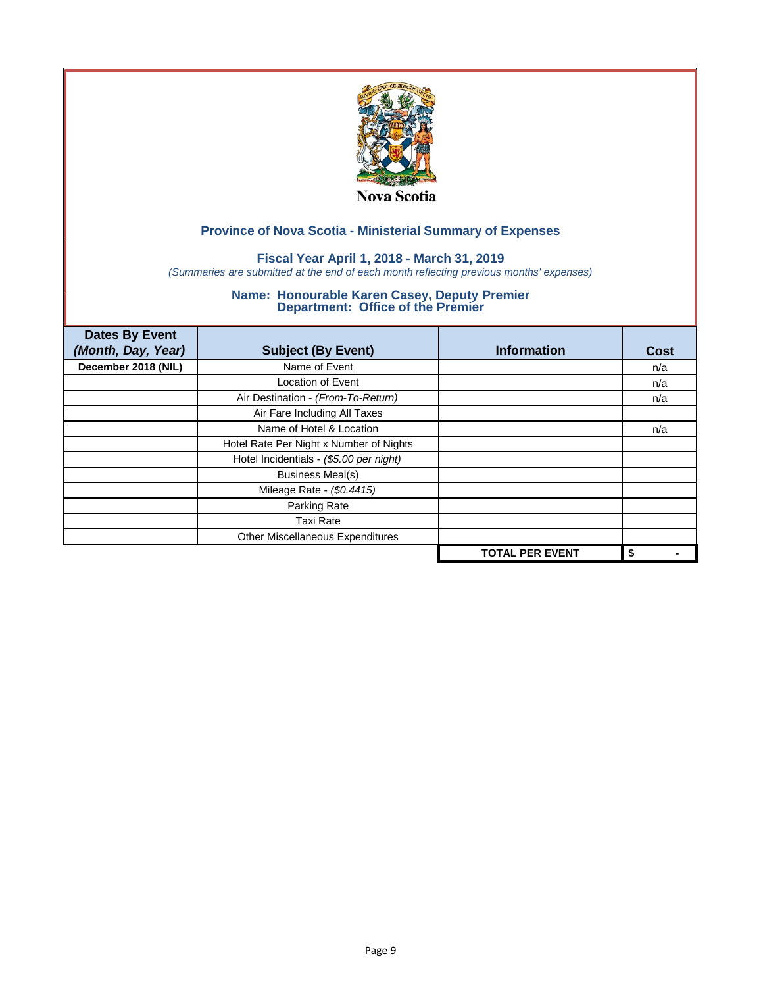

## **Fiscal Year April 1, 2018 - March 31, 2019**

*(Summaries are submitted at the end of each month reflecting previous months' expenses)*

| <b>Dates By Event</b><br>(Month, Day, Year) | <b>Subject (By Event)</b>               | <b>Information</b>     | <b>Cost</b> |
|---------------------------------------------|-----------------------------------------|------------------------|-------------|
| December 2018 (NIL)                         | Name of Event                           |                        | n/a         |
|                                             | <b>Location of Event</b>                |                        | n/a         |
|                                             | Air Destination - (From-To-Return)      |                        | n/a         |
|                                             | Air Fare Including All Taxes            |                        |             |
|                                             | Name of Hotel & Location                |                        | n/a         |
|                                             | Hotel Rate Per Night x Number of Nights |                        |             |
|                                             | Hotel Incidentials - (\$5.00 per night) |                        |             |
|                                             | <b>Business Meal(s)</b>                 |                        |             |
|                                             | Mileage Rate - (\$0.4415)               |                        |             |
|                                             | Parking Rate                            |                        |             |
|                                             | <b>Taxi Rate</b>                        |                        |             |
|                                             | Other Miscellaneous Expenditures        |                        |             |
|                                             |                                         | <b>TOTAL PER EVENT</b> | \$          |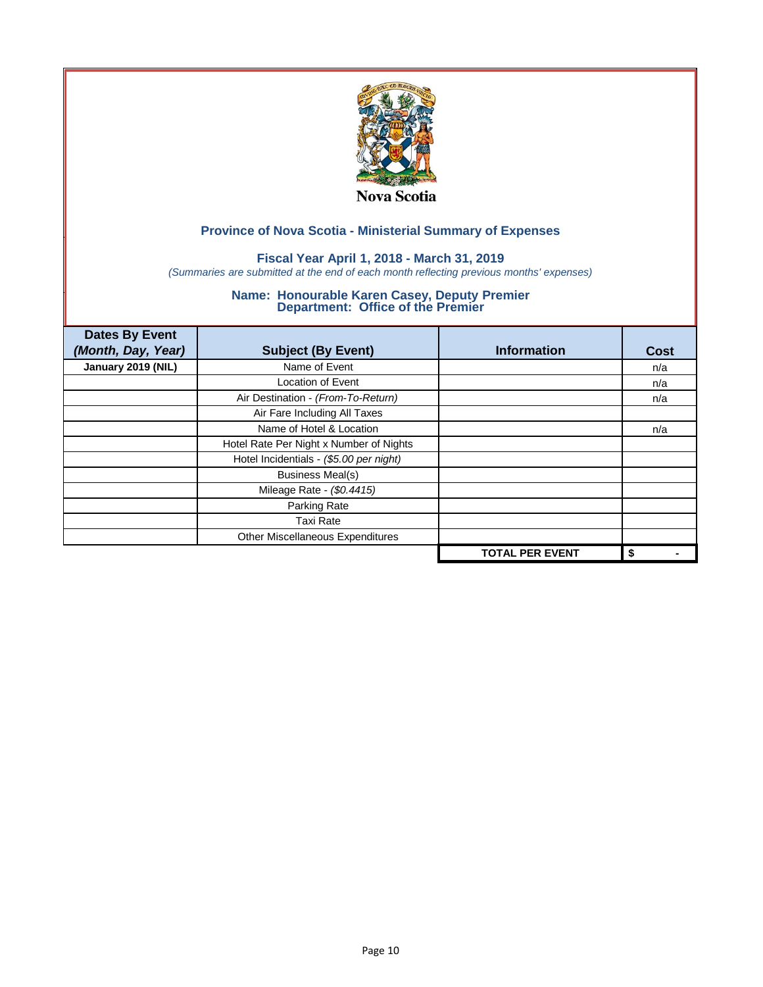

## **Fiscal Year April 1, 2018 - March 31, 2019**

*(Summaries are submitted at the end of each month reflecting previous months' expenses)*

| <b>Dates By Event</b><br>(Month, Day, Year) | <b>Subject (By Event)</b>               | <b>Information</b>     | <b>Cost</b> |
|---------------------------------------------|-----------------------------------------|------------------------|-------------|
| January 2019 (NIL)                          | Name of Event                           |                        | n/a         |
|                                             | <b>Location of Event</b>                |                        | n/a         |
|                                             | Air Destination - (From-To-Return)      |                        | n/a         |
|                                             | Air Fare Including All Taxes            |                        |             |
|                                             | Name of Hotel & Location                |                        | n/a         |
|                                             | Hotel Rate Per Night x Number of Nights |                        |             |
|                                             | Hotel Incidentials - (\$5.00 per night) |                        |             |
|                                             | <b>Business Meal(s)</b>                 |                        |             |
|                                             | Mileage Rate - (\$0.4415)               |                        |             |
|                                             | Parking Rate                            |                        |             |
|                                             | <b>Taxi Rate</b>                        |                        |             |
|                                             | Other Miscellaneous Expenditures        |                        |             |
|                                             |                                         | <b>TOTAL PER EVENT</b> | \$          |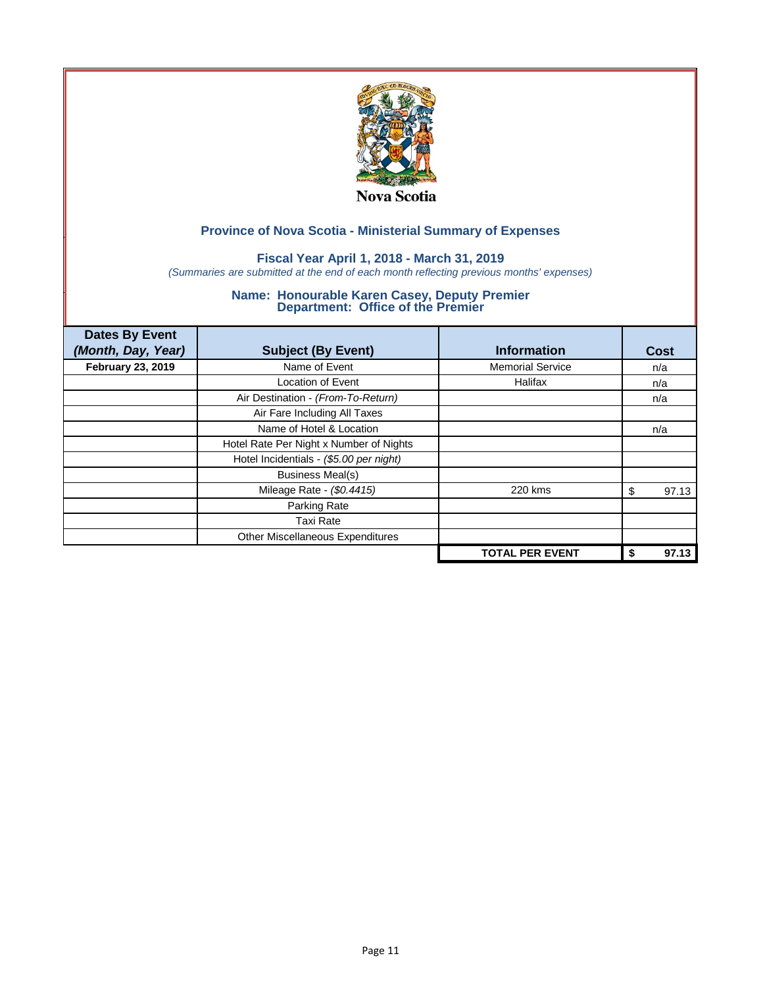

## **Fiscal Year April 1, 2018 - March 31, 2019**

*(Summaries are submitted at the end of each month reflecting previous months' expenses)*

| <b>Dates By Event</b><br>(Month, Day, Year) | <b>Subject (By Event)</b>               | <b>Information</b>      | Cost        |
|---------------------------------------------|-----------------------------------------|-------------------------|-------------|
| <b>February 23, 2019</b>                    | Name of Event                           | <b>Memorial Service</b> | n/a         |
|                                             | <b>Location of Event</b>                | Halifax                 | n/a         |
|                                             | Air Destination - (From-To-Return)      |                         | n/a         |
|                                             | Air Fare Including All Taxes            |                         |             |
|                                             | Name of Hotel & Location                |                         | n/a         |
|                                             | Hotel Rate Per Night x Number of Nights |                         |             |
|                                             | Hotel Incidentials - (\$5.00 per night) |                         |             |
|                                             | <b>Business Meal(s)</b>                 |                         |             |
|                                             | Mileage Rate - (\$0.4415)               | 220 kms                 | 97.13<br>S  |
|                                             | Parking Rate                            |                         |             |
|                                             | Taxi Rate                               |                         |             |
|                                             | Other Miscellaneous Expenditures        |                         |             |
|                                             |                                         | <b>TOTAL PER EVENT</b>  | 97.13<br>\$ |